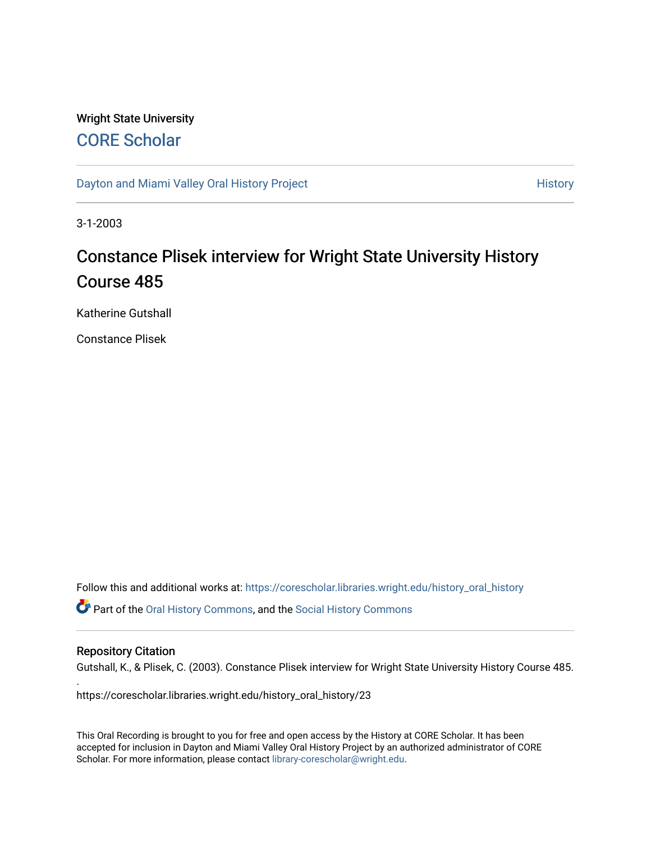# Wright State University [CORE Scholar](https://corescholar.libraries.wright.edu/)

[Dayton and Miami Valley Oral History Project](https://corescholar.libraries.wright.edu/history_oral_history) **History** History

3-1-2003

# Constance Plisek interview for Wright State University History Course 485

Katherine Gutshall

Constance Plisek

Follow this and additional works at: [https://corescholar.libraries.wright.edu/history\\_oral\\_history](https://corescholar.libraries.wright.edu/history_oral_history?utm_source=corescholar.libraries.wright.edu%2Fhistory_oral_history%2F23&utm_medium=PDF&utm_campaign=PDFCoverPages) 

Part of the [Oral History Commons](http://network.bepress.com/hgg/discipline/1195?utm_source=corescholar.libraries.wright.edu%2Fhistory_oral_history%2F23&utm_medium=PDF&utm_campaign=PDFCoverPages), and the [Social History Commons](http://network.bepress.com/hgg/discipline/506?utm_source=corescholar.libraries.wright.edu%2Fhistory_oral_history%2F23&utm_medium=PDF&utm_campaign=PDFCoverPages)

# Repository Citation

.

Gutshall, K., & Plisek, C. (2003). Constance Plisek interview for Wright State University History Course 485.

https://corescholar.libraries.wright.edu/history\_oral\_history/23

This Oral Recording is brought to you for free and open access by the History at CORE Scholar. It has been accepted for inclusion in Dayton and Miami Valley Oral History Project by an authorized administrator of CORE Scholar. For more information, please contact [library-corescholar@wright.edu](mailto:library-corescholar@wright.edu).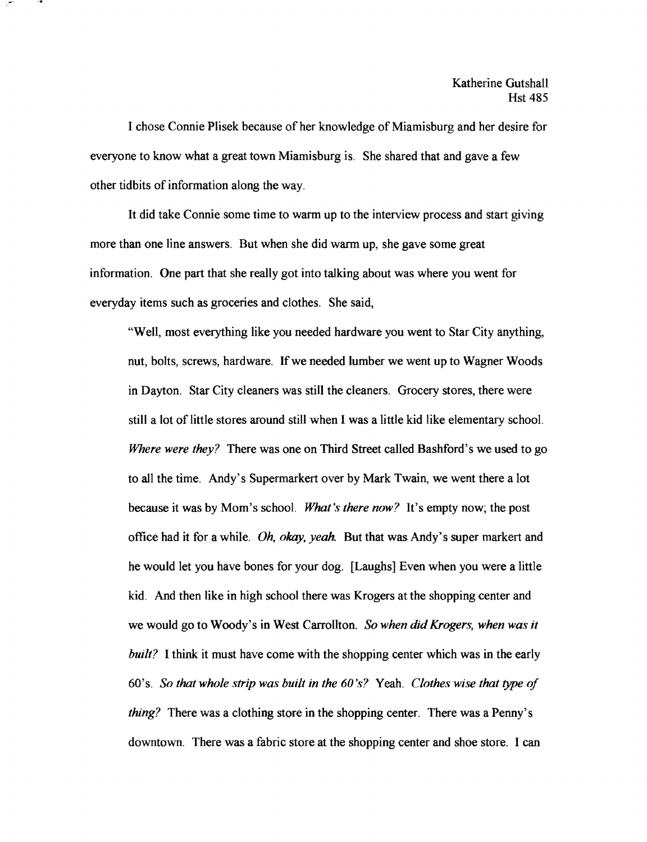I chose Connie Plisek because of her knowledge of Miamisburg and her desire for everyone to know what a great town Miamisburg is. She shared that and gave a few other tidbits of information along the way.

It did take Connie some time to warm up to the interview process and start giving more than one line answers. But when she did warm up, she gave some great information. One part that she really got into talking about was where you went for everyday items such as groceries and clothes. She said,

"Well, most everything like you needed hardware you went to Star City anything, nut, bolts, screws, hardware. If we needed lumber we went up to Wagner Woods in Dayton. Star City cleaners was still the cleaners. Grocery stores, there were still a lot of little stores around still when I was a little kid like elementary school. *Where were they?* There was one on Third Street called Bashford's we used to go to all the time. Andy's Supermarkert over by Mark Twain, we went there a lot because it was by Mom's schooL *What's there now?* It's empty now; the post office had it for a while. *Oh, okay, yeah*. But that was Andy's super markert and he would let you have bones for your dog. [Laughs] Even when you were a little kid. And then like in high school there was Krogers at the shopping center and we would go to Woody's in West Carrollton. *So when did Krogers, when was it built?* I think it must have come with the shopping center which was in the early 60's. *So that whole strip was built in the 60 's?* Yeah. *Clothes wise that type of thing?* There was a clothing store in the shopping center. There was a Penny's downtown. There was a fabric store at the shopping center and shoe store. I can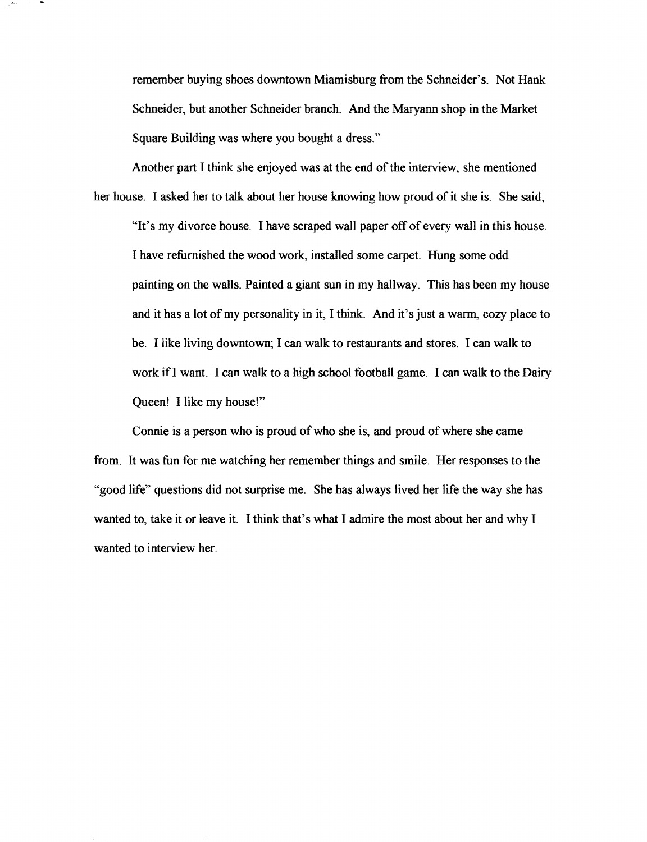remember buying shoes downtown Miamisburg from the Schneider's. Not Hank Schneider, but another Schneider branch. And the Maryann shop in the Market Square Building was where you bought a dress."

Another part I think she enjoyed was at the end of the interview, she mentioned her house. I asked her to talk about her house knowing how proud of it she is. She said, "It's my divorce house. I have scraped wall paper off of every wall in this house. I have refurnished the wood work, installed some carpet. Hung some odd painting on the walls. Painted a giant sun in my hallway. This has been my house and it has a lot of my personality in it, I think. And it's just a warm, cozy place to be. I like living downtown; I can walk to restaurants and stores. I can walk to work ifI want. I can walk to a high school football game. I can walk to the Dairy Queen! I like my house!"

Connie is a person who is proud of who she is, and proud of where she came from. It was fun for me watching her remember things and smile. Her responses to the "good life" questions did not surprise me. She has always lived her life the way she has wanted to, take it or leave it. I think that's what I admire the most about her and why I wanted to interview her.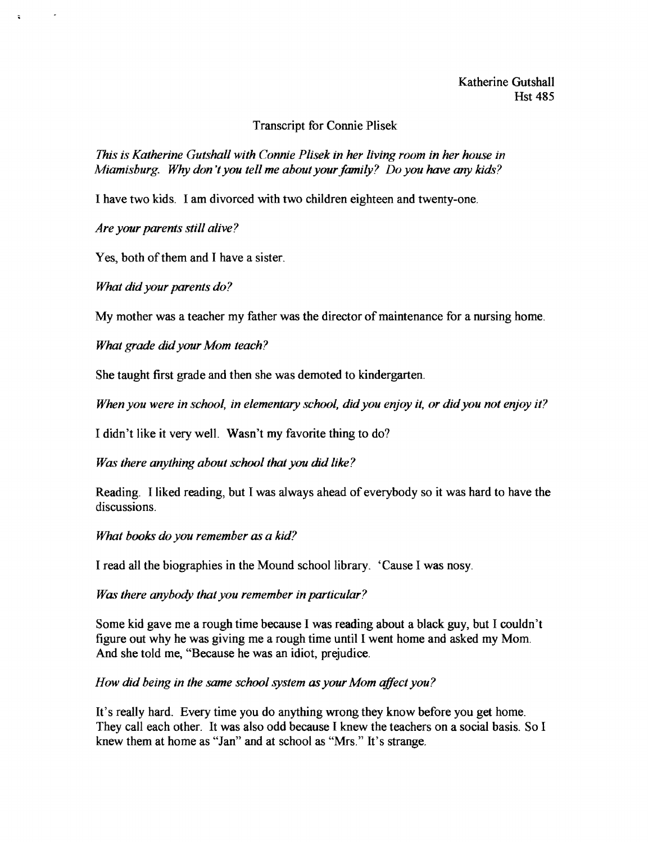Transcript for Connie Plisek

*This is Katherine Gutshall with Connie Plisek in her living room in her house in Miamisburg.* Why *don't you tell me about yourfamily? Do you have any kids?* 

I have two kids. I am divorced with two children eighteen and twenty-one.

*Are your parents still alive?* 

 $\ddot{\phantom{a}}$ 

Yes, both of them and I have a sister.

*What did your parents do?* 

My mother was a teacher my father was the director of maintenance for a nursing home.

*What grade didyour Mom teach?* 

She taught first grade and then she was demoted to kindergarten.

*When you were in school, in elementary school, didyou enjoy* it, *or didyou not enjoy it?* 

I didn't like it very well. Wasn't my favorite thing to do?

*Was there anything about school that you did like?* 

Reading. I liked reading, but I was always ahead of everybody so it was hard to have the discussions.

*What books do you remember as a kid?* 

I read all the biographies in the Mound school library. 'Cause I was nosy.

*Was there anybody that you remember in particular?* 

Some kid gave me a rough time because I was reading about a black guy, but I couldn't figure out why he was giving me a rough time until I went home and asked my Mom. And she told me, "Because he was an idiot, prejudice.

*How did being in the same school system as your Mom qffect you?* 

It's really hard. Every time you do anything wrong they know before you get home. They call each other. It was also odd because I knew the teachers on a social basis. So I knew them at home as "Jan" and at school as "Mrs." It's strange.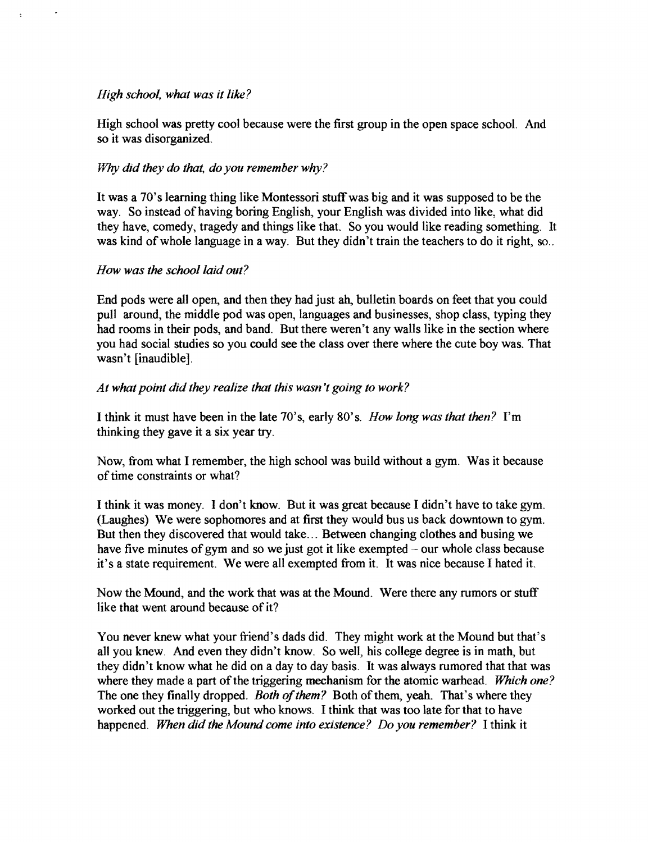# *High school, what was it like?*

High school was pretty cool because were the first group in the open space school. And so it was disorganized.

# 1¥hy *did they do that, do you remember why?*

It was a 70's learning thing like Montessori stuff was big and it was supposed to be the way. So instead of having boring English, your English was divided into like, what did they have, comedy, tragedy and things like that. So you would like reading something. It was kind of whole language in a way. But they didn't train the teachers to do it right, so...

# *How was the school laid out?*

End pods were all open, and then they had just ah, bulletin boards on feet that you could pull around, the middle pod was open, languages and businesses, shop class, typing they had rooms in their pods, and band. But there weren't any walls like in the section where you had social studies so you could see the class over there where the cute boy was. That wasn't [inaudible].

# *At what point did they realize that this wasn't going to work?*

I think it must have been in the late 70's, early 80's. *How long was that then?* I'm thinking they gave it a six year try.

Now, from what I remember, the high school was build without a gym. Was it because of time constraints or what?

I think it was money. I don't know. But it was great because I didn't have to take gym. (Laughes) We were sophomores and at first they would bus us back downtown to gym. But then they discovered that would take ... Between changing clothes and busing we have five minutes of gym and so we just got it like exempted  $-\text{our whole class because}$ it's a state requirement. We were all exempted from it. It was nice because I hated it.

Now the Mound, and the work that was at the Mound. Were there any rumors or stuff like that went around because of it?

You never knew what your friend's dads did. They might work at the Mound but that's all you knew. And even they didn't know. So well, his college degree is in math, but they didn't know what he did on a day to day basis. It was always rumored that that was where they made a part of the triggering mechanism for the atomic warhead. *Which one?* The one they finally dropped. *Both of them?* Both of them, yeah. That's where they worked out the triggering, but who knows. I think that was too late for that to have happened. *When did the Mound come into existence? Do you remember?* I think it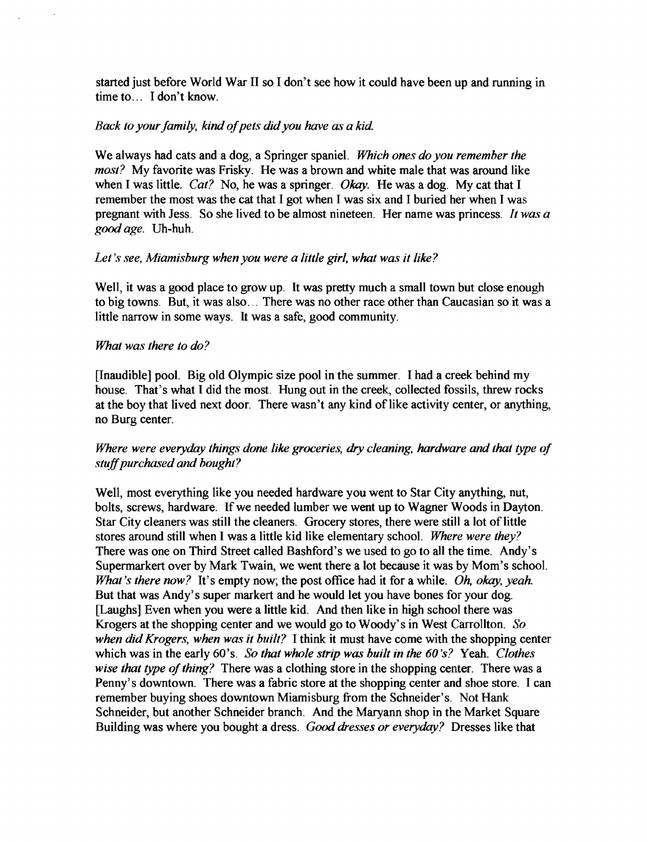started just before World War II so I don't see how it could have been up and running in time to ... I don't know.

# *Back to your family, kind of pets did you have as a kid.*

We always had cats and a dog, a Springer spanieL *Which ones do you remember the most?* My favorite was Frisky. He was a brown and white male that was around like when I was little. *Cat?* No, he was a springer. *Okay.* He was a dog. My cat that I remember the most was the cat that I got when I was six and I buried her when I was pregnant with Jess. So she lived to be almost nineteen. Her name was princess. *It was a good age.* Uh-huh.

# *Let's see, Miamisburg when you were a little girl, what was it like?*

Well, it was a good place to grow up. It was pretty much a small town but close enough to big towns. But, it was also ... There was no other race other than Caucasian so it was a little narrow in some ways. It was a safe, good community.

# *What was there to do?*

[Inaudible] pool. Big old Olympic size pool in the summer. I had a creek behind my house. That's what I did the most. Hung out in the creek, collected fossils, threw rocks at the boy that lived next door. There wasn't any kind of like activity center, or anything, no Burg center.

# *Where were everyday things done like groceries, dry cleaning, hardware and that type of stuffpurchased and bought?*

Well, most everything like you needed hardware you went to Star City anything, nut, bolts, screws, hardware. If we needed lumber we went up to Wagner Woods in Dayton. Star City cleaners was still the cleaners. Grocery stores, there were still a lot of little stores around still when I was a little kid like elementary school. *Where were they?*  There was one on Third Street called Bashford's we used to go to all the time. Andy's Supermarkert over by Mark Twain, we went there a lot because it was by Mom's school. *What's there now?* It's empty now; the post office had it for a while. *Oh, okay, yeah.*  But that was Andy's super markert and he would let you have bones for your dog. [Laughs] Even when you were a little kid. And then like in high school there was Krogers at the shopping center and we would go to Woody's in West Carrollton. *So when did Krogers, when was it built?* I think it must have come with the shopping center which was in the early 60's. *So that whole strip was built in the 60 's?* Yeah. *Clothes wise that type of thing?* There was a clothing store in the shopping center. There was a Penny's downtown. There was a fabric store at the shopping center and shoe store. I can remember buying shoes downtown Miamisburg from the Schneider's. Not Hank Schneider, but another Schneider branch. And the Maryann shop in the Market Square Building was where you bought a dress. *Good dresses or everyday?* Dresses like that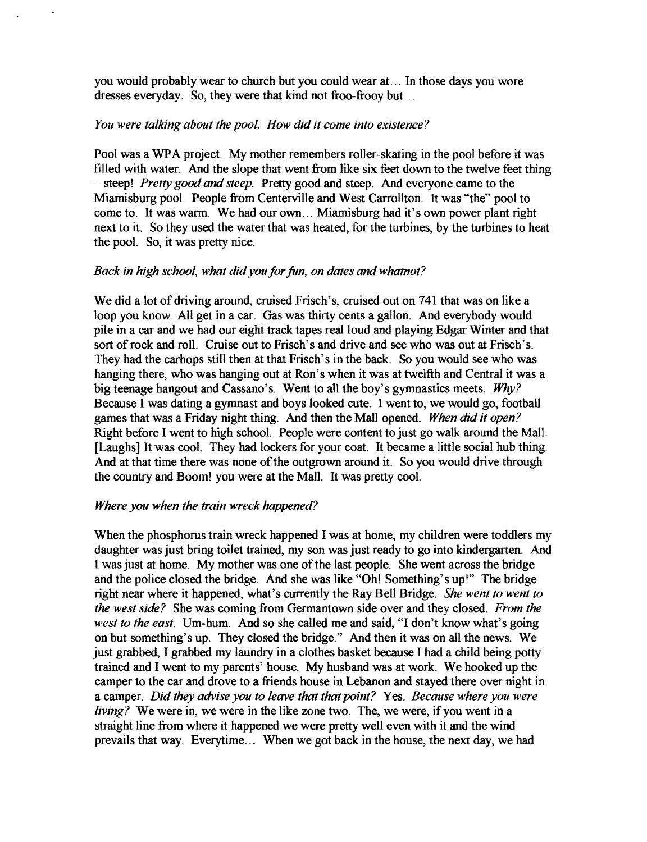you would probably wear to church but you could wear at. .. In those days you wore dresses everyday. So, they were that kind not froo-frooy but ...

## *You were talking about the pool. How did it come into existence?*

Pool was a WPA project. My mother remembers roller-skating in the pool before it was filled with water. And the slope that went from like six feet down to the twelve feet thing - steep! *Pretty good* and *steep.* Pretty good and steep. And everyone came to the Miamisburg pool. People from Centerville and West Carrollton. It was "the" pool to come to. It was warm. We had our own ... Miamisburg had it's own power plant right next to it. So they used the water that was heated, for the turbines, by the turbines to heat the pool. So, it was pretty nice.

# *Back in high school, what didyouforfun, on dates* and*whatnot?*

We did a lot of driving around, cruised Frisch's, cruised out on 741 that was on like a loop you know. All get in a car. Gas was thirty cents a gallon. And everybody would pile in a car and we had our eight track tapes real loud and playing Edgar Winter and that sort of rock and roll. Cruise out to Frisch's and drive and see who was out at Frisch's. They had the carhops still then at that Frisch's in the back. So you would see who was hanging there, who was hanging out at Ron's when it was at twelfth and Central it was a big teenage hangout and Cassano's. Went to all the boy's gymnastics meets. *Why?*  Because I was dating a gymnast and boys looked cute. I went to, we would go, football games that was a Friday night thing. And then the Mall opened. *When did* it *open?*  Right before 1 went to high school. People were content to just go walk around the Mall. [Laughs] It was cool. They had lockers for your coat. It became a little social hub thing. And at that time there was none of the outgrown around it. So you would drive through the country and Boom! you were at the Mall. It was pretty cool.

# *Where you when the train wreck happened?*

When the phosphorus train wreck happened I was at home, my children were toddlers my daughter was just bring toilet trained, my son was just ready to go into kindergarten. And I was just at home. My mother was one of the last people. She went across the bridge and the police closed the bridge. And she was like "Oh! Something's up!" The bridge right near where it happened, what's currently the Ray Bell Bridge. *She went to went to the west side?* She was coming from Germantown side over and they closed. *From the west to the east.* Um-hum. And so she called me and said, "I don't know what's going on but something's up. They closed the bridge." And then it was on all the news. We just grabbed, I grabbed my laundry in a clothes basket because I had a child being potty trained and I went to my parents' house. My husband was at work. We hooked up the camper to the car and drove to a friends house in Lebanon and stayed there over night in a camper. *Did they advise you to leave that that point?* Yes. *Because where you were living?* We were in, we were in the like zone two. The, we were, if you went in a straight line from where it happened we were pretty well even with it and the wind prevails that way. Everytime... When we got back in the house, the next day, we had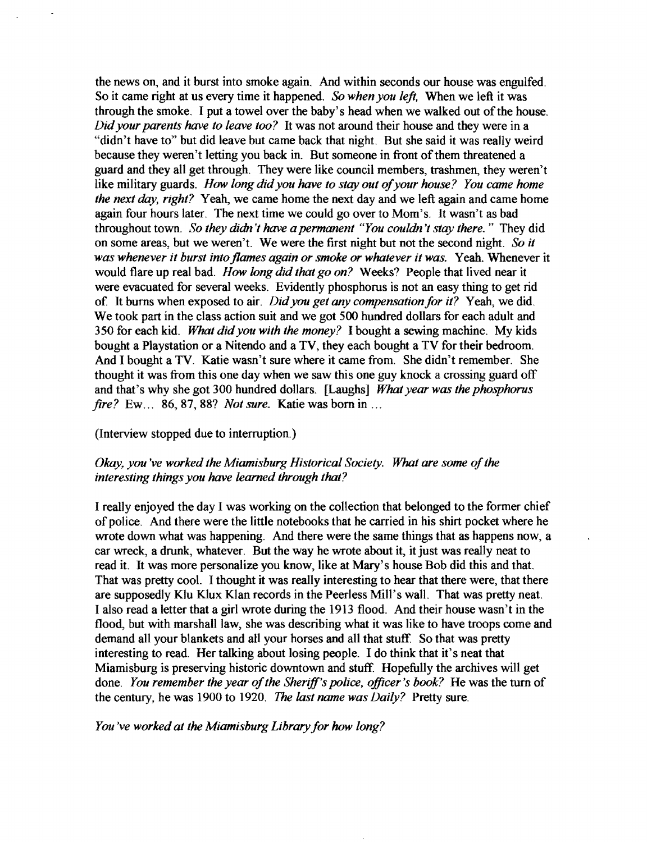the news on, and it burst into smoke again. And within seconds our house was engulfed. So it came right at us every time it happened. *So when you left.* When we left it was through the smoke. I put a towel over the baby's head when we walked out of the house. *Didyour parents have to leave too?* It was not around their house and they were in a "didn't have to" but did leave but came back that night. But she said it was really weird because they weren't letting you back in. But someone in front of them threatened a guard and they all get through. They were like council members, trashmen, they weren't like military guards. *How long did you have to stay out of your house? You came home the next day, right?* Yeah, we came home the next day and we left again and came home again four hours later. The next time we could go over to Mom's. It wasn't as bad throughout town. *So they didn't have a permanent "You couldn't stay there.* " They did on some areas, but we weren't. We were the first night but not the second night. *So it was whenever it burst into flames again or smoke or whatever it was.* Yeah. Whenever it would flare up real bad. *How long did that go on?* Weeks? People that lived near it were evacuated for several weeks. Evidently phosphorus is not an easy thing to get rid of It bums when exposed to air. *Didyou get any compensation for it?* Yeah, we did. We took part in the class action suit and we got 500 hundred dollars for each adult and 350 for each kid. *What didyou with the money?* I bought a sewing machine. My kids bought a Playstation or a Nitendo and a TV, they each bought a TV for their bedroom. And I bought a TV. Katie wasn't sure where it came from. She didn't remember. She thought it was from this one day when we saw this one guy knock a crossing guard off and that's why she got 300 hundred dollars. [Laughs] *What year was the phosphorus fire?* Ew... 86,87, 88? *Not sure.* Katie was born in ...

## (Interview stopped due to interruption.)

# *Okay, you've worked the Miamisburg Historical Society. What are some of the interesting things you have learned through that?*

I really enjoyed the day I was working on the collection that belonged to the former chief of police. And there were the little notebooks that he carried in his shirt pocket where he wrote down what was happening. And there were the same things that as happens now, a car wreck, a drunk, whatever. But the way he wrote about it, it just was really neat to read it. It was more personalize you know, like at Mary's house Bob did this and that. That was pretty cool. I thought it was really interesting to hear that there were, that there are supposedly Klu Klux Klan records in the Peerless Mill's wall. That was pretty neat. I also read a letter that a girl wrote during the 1913 flood. And their house wasn't in the flood, but with marshall law, she was describing what it was like to have troops come and demand all your blankets and all your horses and all that stuff. So that was pretty interesting to read. Her talking about losing people. I do think that it's neat that Miamisburg is preserving historic downtown and stuff. Hopefully the archives will get done. *You remember the year of the Sheriff's police, officer's book?* He was the turn of the century, he was 1900 to 1920. *The last name was Daily?* Pretty sure.

*You 've worked at the Miamisburg Library for how long?*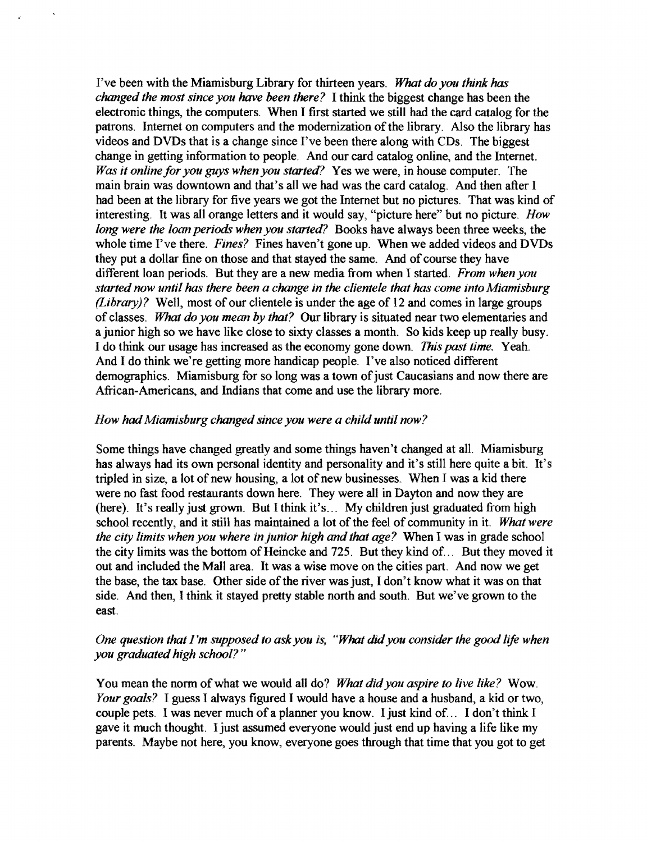I've been with the Miamisburg Library for thirteen years. *What do you think has changed the most since you have been there?* I think the biggest change has been the electronic things, the computers. When I first started we still had the card catalog for the patrons. Internet on computers and the modernization of the library. Also the library has videos and DVDs that is a change since I've been there along with CDs. The biggest change in getting information to people. And our card catalog online, and the Internet. *Was it online for you guys when you started?* Yes we were, in house computer. The main brain was downtown and that's all we had was the card catalog. And then after I had been at the library for five years we got the Internet but no pictures. That was kind of interesting. It was all orange letters and it would say, "picture here" but no picture. *How long were the loan periods when you started?* Books have always been three weeks, the whole time I've there. *Fines?* Fines haven't gone up. When we added videos and DVDs they put a dollar fine on those and that stayed the same. And of course they have different loan periods. But they are a new media from when I started. *From when you started now until has there been a change in the clientele that has come into Miamisburg (Library)?* Well, most of our clientele is under the age of 12 and comes in large groups of classes. *What do you mean by that?* Our library is situated near two elementaries and a junior high so we have like close to sixty classes a month. So kids keep up really busy. I do think our usage has increased as the economy gone down. *This* past *time.* Yeah. And I do think we're getting more handicap people. I've also noticed different demographics. Miamisburg for so long was a town of just Caucasians and now there are African-Americans, and Indians that come and use the library more.

# *How hadMiamisburg changed since you were a child until now?*

Some things have changed greatly and some things haven't changed at all. Miamisburg has always had its own personal identity and personality and it's still here quite a bit. It's tripled in size, a lot of new housing, a lot of new businesses. When I was a kid there were no fast food restaurants down here. They were all in Dayton and now they are (here). It's really just grown. But I think it's... My children just graduated from high school recently, and it still has maintained a lot of the feel of community in it. *What were the city limits when you where in junior high and that age?* When I was in grade school the city limits was the bottom of Heincke and 725. But they kind of... But they moved it out and included the Mall area. It was a wise move on the cities part. And now we get the base, the tax base. Other side of the river was just, I don't know what it was on that side. And then, I think it stayed pretty stable north and south. But we've grown to the east.

# *One question that I'm supposed to askyou is, "What did*you *consider the good life when you graduated high school? "*

You mean the norm of what we would all do? *What did you aspire to live like*? Wow. *Your goals?* I guess I always figured I would have a house and a husband, a kid or two, couple pets. I was never much of a planner you know. I just kind of... I don't think I gave it much thought. I just assumed everyone would just end up having a life like my parents. Maybe not here, you know, everyone goes through that time that you got to get